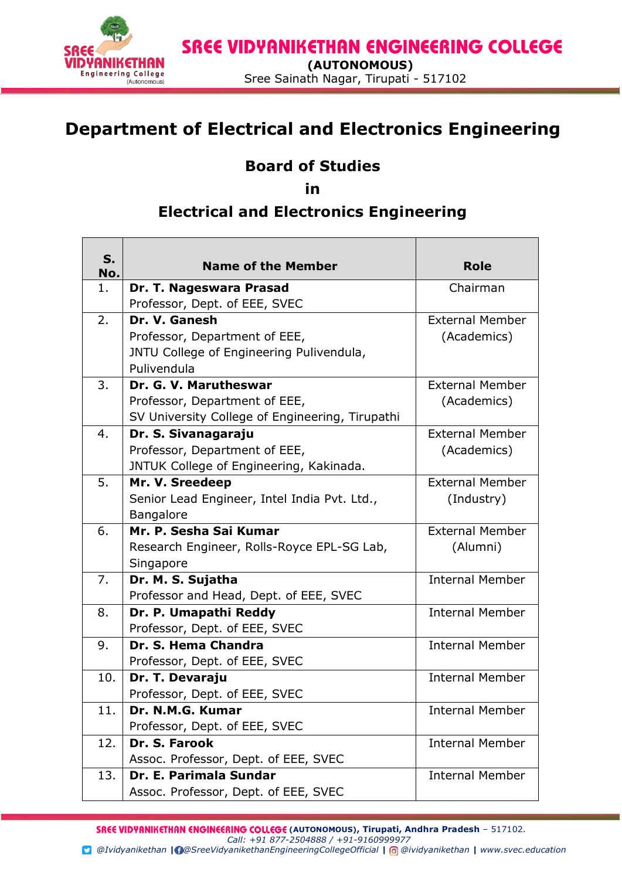

## **Department of Electrical and Electronics Engineering**

## **Board of Studies**

**in** 

## **Electrical and Electronics Engineering**

| S.<br>No. | <b>Name of the Member</b>                       | <b>Role</b>            |
|-----------|-------------------------------------------------|------------------------|
| 1.        | Dr. T. Nageswara Prasad                         | Chairman               |
|           | Professor, Dept. of EEE, SVEC                   |                        |
| 2.        | Dr. V. Ganesh                                   | <b>External Member</b> |
|           | Professor, Department of EEE,                   | (Academics)            |
|           | JNTU College of Engineering Pulivendula,        |                        |
|           | Pulivendula                                     |                        |
| 3.        | Dr. G. V. Marutheswar                           | <b>External Member</b> |
|           | Professor, Department of EEE,                   | (Academics)            |
|           | SV University College of Engineering, Tirupathi |                        |
| 4.        | Dr. S. Sivanagaraju                             | <b>External Member</b> |
|           | Professor, Department of EEE,                   | (Academics)            |
|           | JNTUK College of Engineering, Kakinada.         |                        |
| 5.        | Mr. V. Sreedeep                                 | <b>External Member</b> |
|           | Senior Lead Engineer, Intel India Pvt. Ltd.,    | (Industry)             |
| 6.        | <b>Bangalore</b><br>Mr. P. Sesha Sai Kumar      | <b>External Member</b> |
|           | Research Engineer, Rolls-Royce EPL-SG Lab,      | (Alumni)               |
|           | Singapore                                       |                        |
| 7.        | Dr. M. S. Sujatha                               | <b>Internal Member</b> |
|           | Professor and Head, Dept. of EEE, SVEC          |                        |
| 8.        | Dr. P. Umapathi Reddy                           | <b>Internal Member</b> |
|           | Professor, Dept. of EEE, SVEC                   |                        |
| 9.        | Dr. S. Hema Chandra                             | <b>Internal Member</b> |
|           | Professor, Dept. of EEE, SVEC                   |                        |
| 10.       | Dr. T. Devaraju                                 | <b>Internal Member</b> |
|           | Professor, Dept. of EEE, SVEC                   |                        |
| 11.       | Dr. N.M.G. Kumar                                | <b>Internal Member</b> |
|           | Professor, Dept. of EEE, SVEC                   |                        |
| 12.       | Dr. S. Farook                                   | <b>Internal Member</b> |
|           | Assoc. Professor, Dept. of EEE, SVEC            |                        |
| 13.       | Dr. E. Parimala Sundar                          | <b>Internal Member</b> |
|           | Assoc. Professor, Dept. of EEE, SVEC            |                        |

**SREE VIDYANIKETHAN ENGINEERING COLLEGE** (AUTONOMOUS), Tirupati, Andhra Pradesh - 517102. *Call: +91 877-2504888 / +91-9160999977*

 *@Ividyanikethan | @SreeVidyanikethanEngineeringCollegeOfficial | @ividyanikethan | [www.svec.education](http://www.svec.education/)*